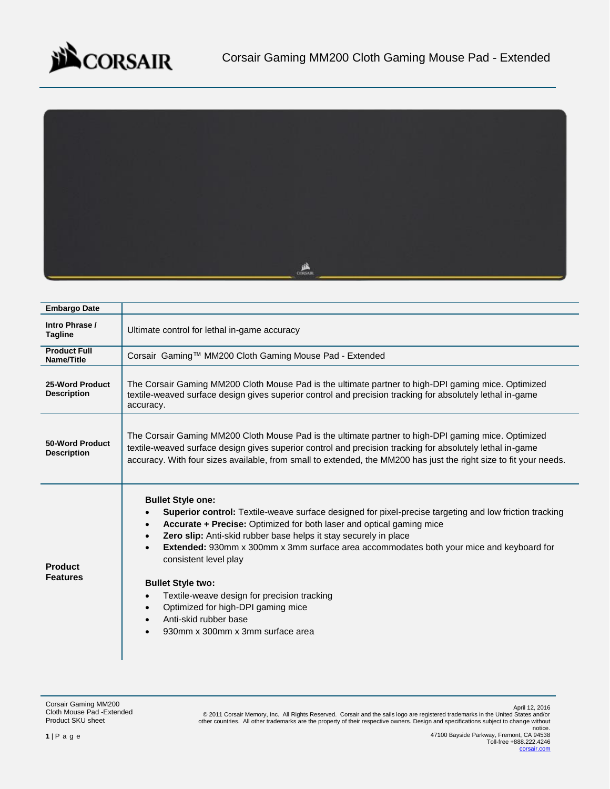



| <b>Embargo Date</b>                   |                                                                                                                                                                                                                                                                                                                                                                                                                                                                                                                                                                                                             |
|---------------------------------------|-------------------------------------------------------------------------------------------------------------------------------------------------------------------------------------------------------------------------------------------------------------------------------------------------------------------------------------------------------------------------------------------------------------------------------------------------------------------------------------------------------------------------------------------------------------------------------------------------------------|
| Intro Phrase /<br><b>Tagline</b>      | Ultimate control for lethal in-game accuracy                                                                                                                                                                                                                                                                                                                                                                                                                                                                                                                                                                |
| <b>Product Full</b><br>Name/Title     | Corsair Gaming™ MM200 Cloth Gaming Mouse Pad - Extended                                                                                                                                                                                                                                                                                                                                                                                                                                                                                                                                                     |
| 25-Word Product<br><b>Description</b> | The Corsair Gaming MM200 Cloth Mouse Pad is the ultimate partner to high-DPI gaming mice. Optimized<br>textile-weaved surface design gives superior control and precision tracking for absolutely lethal in-game<br>accuracy.                                                                                                                                                                                                                                                                                                                                                                               |
| 50-Word Product<br><b>Description</b> | The Corsair Gaming MM200 Cloth Mouse Pad is the ultimate partner to high-DPI gaming mice. Optimized<br>textile-weaved surface design gives superior control and precision tracking for absolutely lethal in-game<br>accuracy. With four sizes available, from small to extended, the MM200 has just the right size to fit your needs.                                                                                                                                                                                                                                                                       |
| <b>Product</b><br><b>Features</b>     | <b>Bullet Style one:</b><br>Superior control: Textile-weave surface designed for pixel-precise targeting and low friction tracking<br>Accurate + Precise: Optimized for both laser and optical gaming mice<br><b>Zero slip:</b> Anti-skid rubber base helps it stay securely in place<br><b>Extended:</b> 930mm x 300mm x 3mm surface area accommodates both your mice and keyboard for<br>consistent level play<br><b>Bullet Style two:</b><br>Textile-weave design for precision tracking<br>$\bullet$<br>Optimized for high-DPI gaming mice<br>Anti-skid rubber base<br>930mm x 300mm x 3mm surface area |